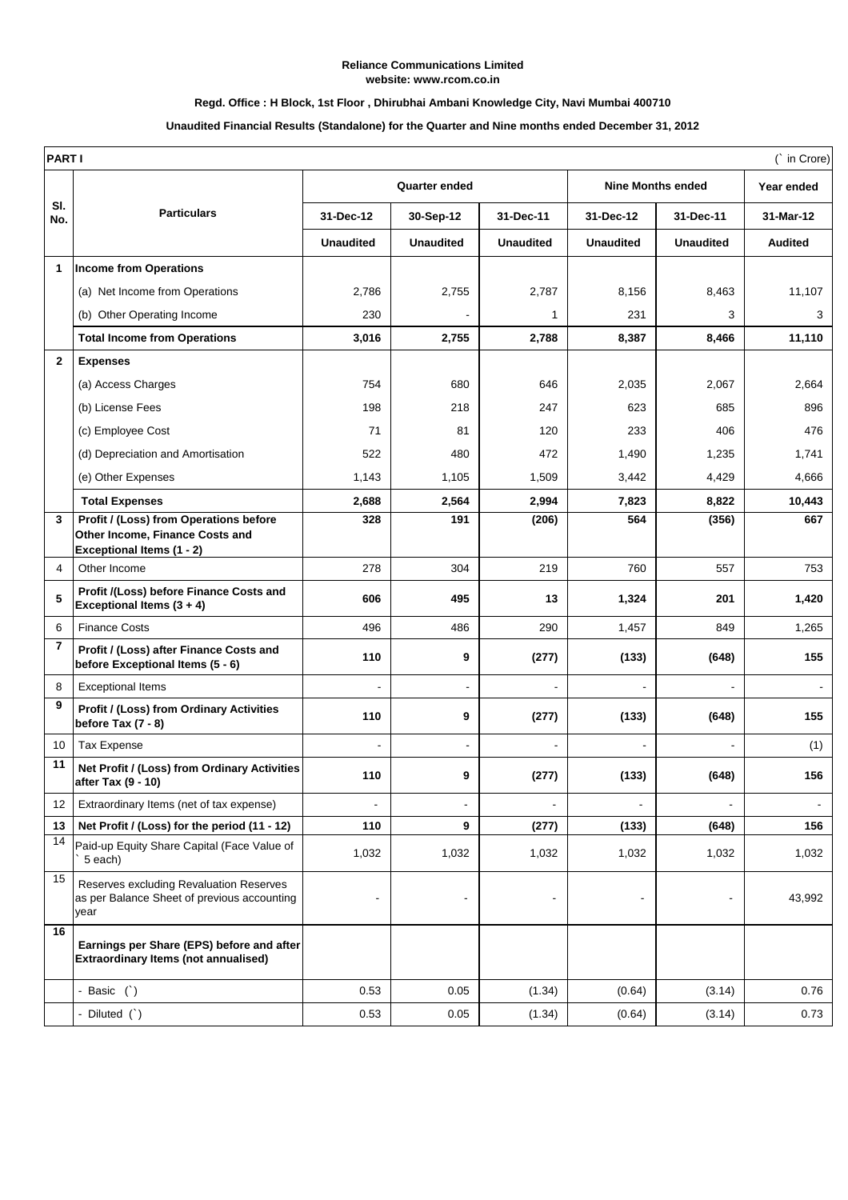#### **Reliance Communications Limited website: www.rcom.co.in**

### **Regd. Office : H Block, 1st Floor , Dhirubhai Ambani Knowledge City, Navi Mumbai 400710**

### **Unaudited Financial Results (Standalone) for the Quarter and Nine months ended December 31, 2012**

| <b>PARTI</b><br>(` in Crore) |                                                                                                        |                      |                  |                  |                          |                  |                |  |  |
|------------------------------|--------------------------------------------------------------------------------------------------------|----------------------|------------------|------------------|--------------------------|------------------|----------------|--|--|
|                              |                                                                                                        | <b>Quarter ended</b> |                  |                  | <b>Nine Months ended</b> |                  | Year ended     |  |  |
| SI.<br>No.                   | <b>Particulars</b>                                                                                     | 31-Dec-12            | 30-Sep-12        | 31-Dec-11        | 31-Dec-12                | 31-Dec-11        | 31-Mar-12      |  |  |
|                              |                                                                                                        | <b>Unaudited</b>     | <b>Unaudited</b> | <b>Unaudited</b> | <b>Unaudited</b>         | <b>Unaudited</b> | <b>Audited</b> |  |  |
| $\mathbf 1$                  | <b>Income from Operations</b>                                                                          |                      |                  |                  |                          |                  |                |  |  |
|                              | (a) Net Income from Operations                                                                         | 2,786                | 2,755            | 2,787            | 8,156                    | 8,463            | 11,107         |  |  |
|                              | (b) Other Operating Income                                                                             | 230                  |                  | 1                | 231                      | 3                | 3              |  |  |
|                              | <b>Total Income from Operations</b>                                                                    | 3,016                | 2,755            | 2,788            | 8,387                    | 8,466            | 11,110         |  |  |
| $\mathbf{2}$                 | <b>Expenses</b>                                                                                        |                      |                  |                  |                          |                  |                |  |  |
|                              | (a) Access Charges                                                                                     | 754                  | 680              | 646              | 2,035                    | 2,067            | 2,664          |  |  |
|                              | (b) License Fees                                                                                       | 198                  | 218              | 247              | 623                      | 685              | 896            |  |  |
|                              | (c) Employee Cost                                                                                      | 71                   | 81               | 120              | 233                      | 406              | 476            |  |  |
|                              | (d) Depreciation and Amortisation                                                                      | 522                  | 480              | 472              | 1,490                    | 1,235            | 1,741          |  |  |
|                              | (e) Other Expenses                                                                                     | 1,143                | 1,105            | 1,509            | 3,442                    | 4,429            | 4,666          |  |  |
|                              | <b>Total Expenses</b>                                                                                  | 2,688                | 2,564            | 2,994            | 7,823                    | 8,822            | 10,443         |  |  |
| 3                            | Profit / (Loss) from Operations before<br>Other Income, Finance Costs and<br>Exceptional Items (1 - 2) | 328                  | 191              | (206)            | 564                      | (356)            | 667            |  |  |
| 4                            | Other Income                                                                                           | 278                  | 304              | 219              | 760                      | 557              | 753            |  |  |
| 5                            | Profit /(Loss) before Finance Costs and<br>Exceptional Items $(3 + 4)$                                 | 606                  | 495              | 13               | 1,324                    | 201              | 1,420          |  |  |
| 6                            | <b>Finance Costs</b>                                                                                   | 496                  | 486              | 290              | 1,457                    | 849              | 1,265          |  |  |
| $\overline{7}$               | Profit / (Loss) after Finance Costs and<br>before Exceptional Items (5 - 6)                            | 110                  | 9                | (277)            | (133)                    | (648)            | 155            |  |  |
| 8                            | <b>Exceptional Items</b>                                                                               |                      |                  |                  |                          |                  |                |  |  |
| 9                            | <b>Profit / (Loss) from Ordinary Activities</b><br>before Tax $(7 - 8)$                                | 110                  | 9                | (277)            | (133)                    | (648)            | 155            |  |  |
| 10                           | <b>Tax Expense</b>                                                                                     |                      | ÷,               |                  |                          |                  | (1)            |  |  |
| 11                           | Net Profit / (Loss) from Ordinary Activities<br>after Tax (9 - 10)                                     | 110                  | 9                | (277)            | (133)                    | (648)            | 156            |  |  |
| 12                           | Extraordinary Items (net of tax expense)                                                               |                      |                  |                  |                          |                  |                |  |  |
| 13                           | Net Profit / (Loss) for the period (11 - 12)                                                           | 110                  | 9                | (277)            | (133)                    | (648)            | 156            |  |  |
| 14                           | Paid-up Equity Share Capital (Face Value of<br>5 each)                                                 | 1,032                | 1,032            | 1,032            | 1,032                    | 1,032            | 1,032          |  |  |
| 15                           | Reserves excluding Revaluation Reserves<br>as per Balance Sheet of previous accounting<br>year         |                      |                  |                  |                          |                  | 43,992         |  |  |
| 16                           | Earnings per Share (EPS) before and after<br><b>Extraordinary Items (not annualised)</b>               |                      |                  |                  |                          |                  |                |  |  |
|                              | - Basic $( )$                                                                                          | 0.53                 | 0.05             | (1.34)           | (0.64)                   | (3.14)           | 0.76           |  |  |
|                              | - Diluted (`)                                                                                          | 0.53                 | 0.05             | (1.34)           | (0.64)                   | (3.14)           | 0.73           |  |  |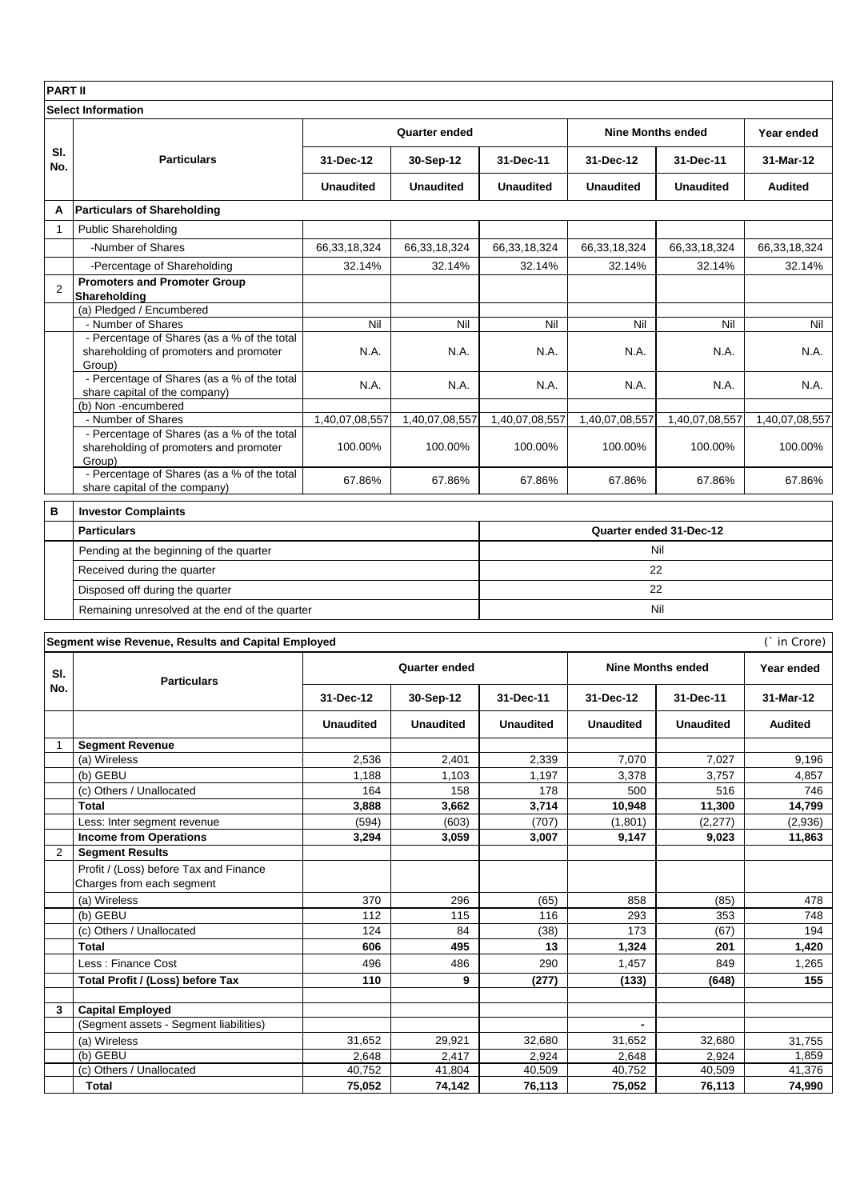| <b>PART II</b>            |                                                                                                    |                      |                  |                  |                          |                         |                  |  |  |  |  |
|---------------------------|----------------------------------------------------------------------------------------------------|----------------------|------------------|------------------|--------------------------|-------------------------|------------------|--|--|--|--|
| <b>Select Information</b> |                                                                                                    |                      |                  |                  |                          |                         |                  |  |  |  |  |
|                           |                                                                                                    | Quarter ended        |                  |                  | <b>Nine Months ended</b> |                         | Year ended       |  |  |  |  |
| SI.<br>No.                | <b>Particulars</b>                                                                                 | 31-Dec-12            | 30-Sep-12        | 31-Dec-11        | 31-Dec-12                | 31-Dec-11               | 31-Mar-12        |  |  |  |  |
|                           |                                                                                                    | <b>Unaudited</b>     | <b>Unaudited</b> | <b>Unaudited</b> | <b>Unaudited</b>         | <b>Unaudited</b>        | <b>Audited</b>   |  |  |  |  |
| A                         | <b>Particulars of Shareholding</b>                                                                 |                      |                  |                  |                          |                         |                  |  |  |  |  |
| $\mathbf{1}$              | <b>Public Shareholding</b>                                                                         |                      |                  |                  |                          |                         |                  |  |  |  |  |
|                           | -Number of Shares                                                                                  | 66,33,18,324         | 66,33,18,324     | 66,33,18,324     | 66,33,18,324             | 66,33,18,324            | 66,33,18,324     |  |  |  |  |
|                           | -Percentage of Shareholding                                                                        | 32.14%               | 32.14%           | 32.14%           | 32.14%                   | 32.14%                  | 32.14%           |  |  |  |  |
| $\overline{2}$            | <b>Promoters and Promoter Group</b><br>Shareholding                                                |                      |                  |                  |                          |                         |                  |  |  |  |  |
|                           | (a) Pledged / Encumbered                                                                           |                      |                  |                  |                          |                         |                  |  |  |  |  |
|                           | - Number of Shares<br>- Percentage of Shares (as a % of the total                                  | Nil                  | Nil              | Nil              | Nil                      | Nil                     | Nil              |  |  |  |  |
|                           | shareholding of promoters and promoter<br>Group)                                                   | N.A.                 | N.A.             | N.A.             | N.A.                     | N.A.                    | N.A.             |  |  |  |  |
|                           | - Percentage of Shares (as a % of the total<br>share capital of the company)<br>(b) Non-encumbered | N.A.                 | N.A.             | N.A.             | N.A.                     | N.A.                    | N.A.             |  |  |  |  |
|                           | - Number of Shares                                                                                 | 1,40,07,08,557       | 1,40,07,08,557   | 1,40,07,08,557   | 1,40,07,08,557           | 1,40,07,08,557          | 1,40,07,08,557   |  |  |  |  |
|                           | - Percentage of Shares (as a % of the total<br>shareholding of promoters and promoter<br>Group)    | 100.00%              | 100.00%          | 100.00%          | 100.00%                  | 100.00%                 | 100.00%          |  |  |  |  |
|                           | - Percentage of Shares (as a % of the total<br>share capital of the company)                       | 67.86%               | 67.86%           | 67.86%           | 67.86%                   | 67.86%                  | 67.86%           |  |  |  |  |
| в                         | <b>Investor Complaints</b>                                                                         |                      |                  |                  |                          |                         |                  |  |  |  |  |
|                           | <b>Particulars</b>                                                                                 |                      |                  |                  |                          | Quarter ended 31-Dec-12 |                  |  |  |  |  |
|                           | Pending at the beginning of the quarter                                                            |                      | Nil              |                  |                          |                         |                  |  |  |  |  |
|                           | Received during the quarter                                                                        | 22                   |                  |                  |                          |                         |                  |  |  |  |  |
|                           |                                                                                                    |                      |                  |                  |                          |                         |                  |  |  |  |  |
|                           | Disposed off during the quarter                                                                    | 22                   |                  |                  |                          |                         |                  |  |  |  |  |
|                           | Remaining unresolved at the end of the quarter                                                     | Nil                  |                  |                  |                          |                         |                  |  |  |  |  |
|                           | Segment wise Revenue, Results and Capital Employed                                                 |                      |                  |                  |                          |                         |                  |  |  |  |  |
|                           |                                                                                                    |                      | (` in Crore)     |                  |                          |                         |                  |  |  |  |  |
| SI.                       | <b>Particulars</b>                                                                                 | <b>Quarter ended</b> |                  |                  | <b>Nine Months ended</b> | Year ended              |                  |  |  |  |  |
| No.                       |                                                                                                    | 31-Dec-12            | 30-Sep-12        | 31-Dec-11        | 31-Dec-12                | 31-Dec-11               | 31-Mar-12        |  |  |  |  |
|                           |                                                                                                    | <b>Unaudited</b>     | <b>Unaudited</b> | <b>Unaudited</b> | <b>Unaudited</b>         | <b>Unaudited</b>        | <b>Audited</b>   |  |  |  |  |
| $\mathbf 1$               | <b>Segment Revenue</b>                                                                             |                      |                  |                  |                          |                         |                  |  |  |  |  |
|                           | (a) Wireless                                                                                       | 2,536                | 2,401            | 2,339            | 7,070                    | 7,027                   | 9,196            |  |  |  |  |
|                           | (b) GEBU<br>(c) Others / Unallocated                                                               | 1,188<br>164         | 1,103<br>158     | 1,197<br>178     | 3,378<br>500             | 3,757<br>516            | 4,857<br>746     |  |  |  |  |
|                           | <b>Total</b>                                                                                       | 3,888                | 3,662            | 3,714            | 10,948                   | 11,300                  | 14,799           |  |  |  |  |
|                           | Less: Inter segment revenue                                                                        | (594)                | (603)            | (707)            | (1,801)                  | (2, 277)                | (2,936)          |  |  |  |  |
|                           | <b>Income from Operations</b>                                                                      | 3,294                | 3,059            | 3,007            | 9,147                    | 9,023                   | 11,863           |  |  |  |  |
| 2                         | <b>Segment Results</b>                                                                             |                      |                  |                  |                          |                         |                  |  |  |  |  |
|                           | Profit / (Loss) before Tax and Finance<br>Charges from each segment                                |                      |                  |                  |                          |                         |                  |  |  |  |  |
|                           | (a) Wireless                                                                                       | 370                  | 296              | (65)             | 858                      | (85)                    | 478              |  |  |  |  |
|                           | (b) GEBU<br>(c) Others / Unallocated                                                               | 112<br>124           | 115<br>84        | 116              | 293<br>173               | 353<br>(67)             | 748<br>194       |  |  |  |  |
|                           | Total                                                                                              | 606                  | 495              | (38)<br>13       | 1,324                    | 201                     | 1,420            |  |  |  |  |
|                           | Less : Finance Cost                                                                                | 496                  | 486              | 290              | 1,457                    | 849                     | 1,265            |  |  |  |  |
|                           | Total Profit / (Loss) before Tax                                                                   | 110                  | 9                | (277)            | (133)                    | (648)                   | 155              |  |  |  |  |
| 3                         | <b>Capital Employed</b>                                                                            |                      |                  |                  |                          |                         |                  |  |  |  |  |
|                           | (Segment assets - Segment liabilities)                                                             |                      |                  |                  | $\blacksquare$           |                         |                  |  |  |  |  |
|                           | (a) Wireless                                                                                       | 31,652               | 29,921           | 32,680           | 31,652                   | 32,680                  | 31,755           |  |  |  |  |
|                           | (b) GEBU                                                                                           | 2,648                | 2,417            | 2,924            | 2,648                    | 2,924                   | 1,859            |  |  |  |  |
|                           | (c) Others / Unallocated<br><b>Total</b>                                                           | 40,752<br>75,052     | 41,804<br>74,142 | 40,509<br>76,113 | 40,752<br>75,052         | 40,509<br>76,113        | 41,376<br>74,990 |  |  |  |  |
|                           |                                                                                                    |                      |                  |                  |                          |                         |                  |  |  |  |  |